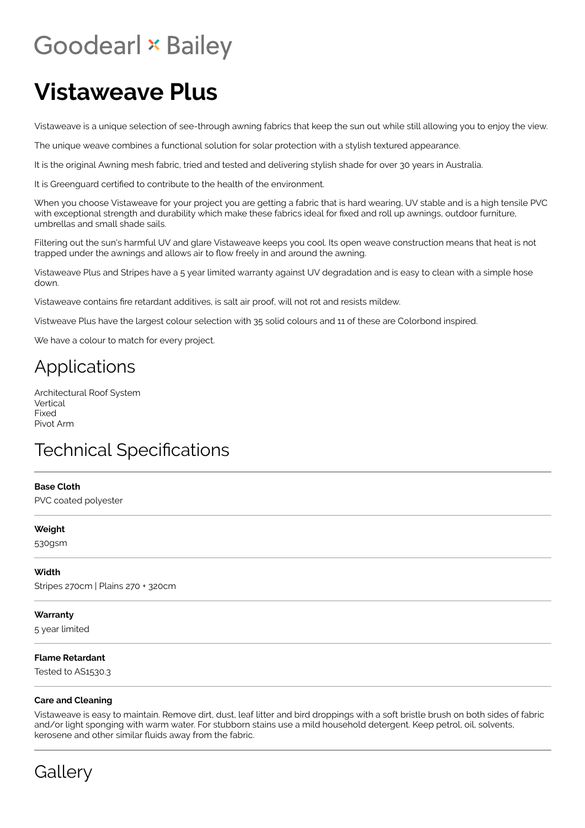# **Goodearl \* Bailey**

## **Vistaweave Plus**

Vistaweave is a unique selection of see-through awning fabrics that keep the sun out while still allowing you to enjoy the view.

The unique weave combines a functional solution for solar protection with a stylish textured appearance.

It is the original Awning mesh fabric, tried and tested and delivering stylish shade for over 30 years in Australia.

It is Greenguard certified to contribute to the health of the environment.

When you choose Vistaweave for your project you are getting a fabric that is hard wearing, UV stable and is a high tensile PVC with exceptional strength and durability which make these fabrics ideal for fixed and roll up awnings, outdoor furniture, umbrellas and small shade sails.

Filtering out the sun's harmful UV and glare Vistaweave keeps you cool. Its open weave construction means that heat is not trapped under the awnings and allows air to flow freely in and around the awning.

Vistaweave Plus and Stripes have a 5 year limited warranty against UV degradation and is easy to clean with a simple hose down.

Vistaweave contains fire retardant additives, is salt air proof, will not rot and resists mildew.

Vistweave Plus have the largest colour selection with 35 solid colours and 11 of these are Colorbond inspired.

We have a colour to match for every project.

### Applications

Architectural Roof System Vertical Fixed Pivot Arm

## **Technical Specifications**

#### **Base Cloth**

PVC coated polyester

#### **Weight**

530gsm

#### **Width**

Stripes 270cm | Plains 270 + 320cm

#### **Warranty**

5 year limited

#### **Flame Retardant**

Tested to AS1530.3

#### **Care and Cleaning**

Vistaweave is easy to maintain. Remove dirt, dust, leaf litter and bird droppings with a soft bristle brush on both sides of fabric and/or light sponging with warm water. For stubborn stains use a mild household detergent. Keep petrol, oil, solvents, kerosene and other similar fluids away from the fabric.